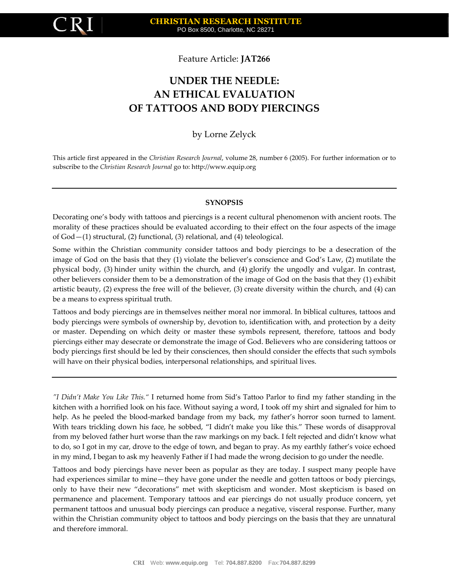

Feature Article: **JAT266**

# **UNDER THE NEEDLE: AN ETHICAL EVALUATION OF TATTOOS AND BODY PIERCINGS**

# by Lorne Zelyck

This article first appeared in the *Christian Research Journal*, volume 28, number 6 (2005). For further information or to subscribe to the *Christian Research Journal* go to: http://www.equip.org

### **SYNOPSIS**

Decorating one's body with tattoos and piercings is a recent cultural phenomenon with ancient roots. The morality of these practices should be evaluated according to their effect on the four aspects of the image of God—(1) structural, (2) functional, (3) relational, and (4) teleological.

Some within the Christian community consider tattoos and body piercings to be a desecration of the image of God on the basis that they (1) violate the believer's conscience and God's Law, (2) mutilate the physical body, (3) hinder unity within the church, and (4) glorify the ungodly and vulgar. In contrast, other believers consider them to be a demonstration of the image of God on the basis that they (1) exhibit artistic beauty, (2) express the free will of the believer, (3) create diversity within the church, and (4) can be a means to express spiritual truth.

Tattoos and body piercings are in themselves neither moral nor immoral. In biblical cultures, tattoos and body piercings were symbols of ownership by, devotion to, identification with, and protection by a deity or master. Depending on which deity or master these symbols represent, therefore, tattoos and body piercings either may desecrate or demonstrate the image of God. Believers who are considering tattoos or body piercings first should be led by their consciences, then should consider the effects that such symbols will have on their physical bodies, interpersonal relationships, and spiritual lives.

Tattoos and body piercings have never been as popular as they are today. I suspect many people have had experiences similar to mine—they have gone under the needle and gotten tattoos or body piercings, only to have their new "decorations" met with skepticism and wonder. Most skepticism is based on permanence and placement. Temporary tattoos and ear piercings do not usually produce concern, yet permanent tattoos and unusual body piercings can produce a negative, visceral response. Further, many within the Christian community object to tattoos and body piercings on the basis that they are unnatural and therefore immoral.

*<sup>&</sup>quot;I Didn't Make You Like This."* I returned home from Sid's Tattoo Parlor to find my father standing in the kitchen with a horrified look on his face. Without saying a word, I took off my shirt and signaled for him to help. As he peeled the blood-marked bandage from my back, my father's horror soon turned to lament. With tears trickling down his face, he sobbed, "I didn't make you like this." These words of disapproval from my beloved father hurt worse than the raw markings on my back. I felt rejected and didn't know what to do, so I got in my car, drove to the edge of town, and began to pray. As my earthly father's voice echoed in my mind, I began to ask my heavenly Father if I had made the wrong decision to go under the needle.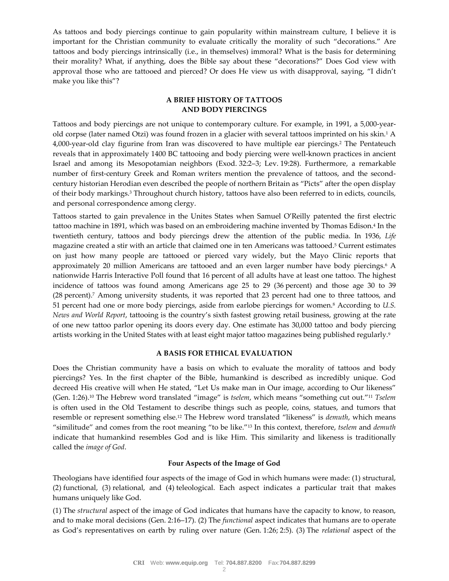As tattoos and body piercings continue to gain popularity within mainstream culture, I believe it is important for the Christian community to evaluate critically the morality of such "decorations." Are tattoos and body piercings intrinsically (i.e., in themselves) immoral? What is the basis for determining their morality? What, if anything, does the Bible say about these "decorations?" Does God view with approval those who are tattooed and pierced? Or does He view us with disapproval, saying, "I didn't make you like this"?

# **A BRIEF HISTORY OF TATTOOS AND BODY PIERCINGS**

Tattoos and body piercings are not unique to contemporary culture. For example, in 1991, a 5,000-yearold corpse (later named Otzi) was found frozen in a glacier with several tattoos imprinted on his skin.<sup>1</sup> A 4,000-year-old clay figurine from Iran was discovered to have multiple ear piercings.<sup>2</sup> The Pentateuch reveals that in approximately 1400 BC tattooing and body piercing were well-known practices in ancient Israel and among its Mesopotamian neighbors (Exod. 32:2–3; Lev. 19:28). Furthermore, a remarkable number of first-century Greek and Roman writers mention the prevalence of tattoos, and the secondcentury historian Herodian even described the people of northern Britain as "Picts" after the open display of their body markings.<sup>3</sup> Throughout church history, tattoos have also been referred to in edicts, councils, and personal correspondence among clergy.

Tattoos started to gain prevalence in the Unites States when Samuel O'Reilly patented the first electric tattoo machine in 1891, which was based on an embroidering machine invented by Thomas Edison.<sup>4</sup> In the twentieth century, tattoos and body piercings drew the attention of the public media. In 1936, *Life* magazine created a stir with an article that claimed one in ten Americans was tattooed.<sup>5</sup> Current estimates on just how many people are tattooed or pierced vary widely, but the Mayo Clinic reports that approximately 20 million Americans are tattooed and an even larger number have body piercings.<sup>6</sup> A nationwide Harris Interactive Poll found that 16 percent of all adults have at least one tattoo. The highest incidence of tattoos was found among Americans age 25 to 29 (36 percent) and those age 30 to 39 (28 percent).<sup>7</sup> Among university students, it was reported that 23 percent had one to three tattoos, and 51 percent had one or more body piercings, aside from earlobe piercings for women.<sup>8</sup> According to *U.S. News and World Report*, tattooing is the country's sixth fastest growing retail business, growing at the rate of one new tattoo parlor opening its doors every day. One estimate has 30,000 tattoo and body piercing artists working in the United States with at least eight major tattoo magazines being published regularly.<sup>9</sup>

## **A BASIS FOR ETHICAL EVALUATION**

Does the Christian community have a basis on which to evaluate the morality of tattoos and body piercings? Yes. In the first chapter of the Bible, humankind is described as incredibly unique. God decreed His creative will when He stated, "Let Us make man in Our image, according to Our likeness" (Gen. 1:26).<sup>10</sup> The Hebrew word translated "image" is *tselem*, which means "something cut out."<sup>11</sup> *Tselem* is often used in the Old Testament to describe things such as people, coins, statues, and tumors that resemble or represent something else.<sup>12</sup> The Hebrew word translated "likeness" is *demuth*, which means "similitude" and comes from the root meaning "to be like."<sup>13</sup> In this context, therefore, *tselem* and *demuth* indicate that humankind resembles God and is like Him. This similarity and likeness is traditionally called the *image of God*.

## **Four Aspects of the Image of God**

Theologians have identified four aspects of the image of God in which humans were made: (1) structural, (2) functional, (3) relational, and (4) teleological. Each aspect indicates a particular trait that makes humans uniquely like God.

(1) The *structural* aspect of the image of God indicates that humans have the capacity to know, to reason, and to make moral decisions (Gen. 2:16–17). (2) The *functional* aspect indicates that humans are to operate as God's representatives on earth by ruling over nature (Gen. 1:26; 2:5). (3) The *relational* aspect of the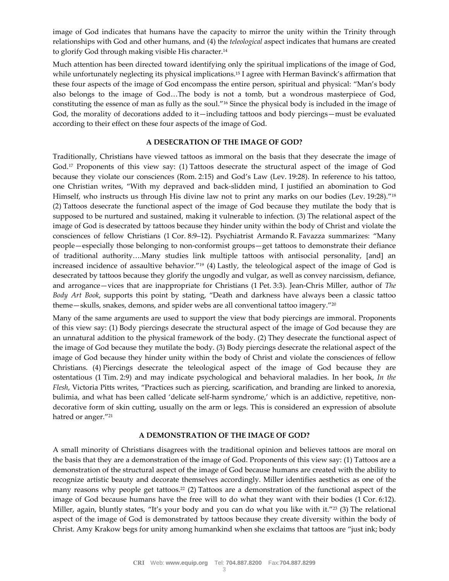image of God indicates that humans have the capacity to mirror the unity within the Trinity through relationships with God and other humans, and (4) the *teleological* aspect indicates that humans are created to glorify God through making visible His character.<sup>14</sup>

Much attention has been directed toward identifying only the spiritual implications of the image of God, while unfortunately neglecting its physical implications.<sup>15</sup> I agree with Herman Bavinck's affirmation that these four aspects of the image of God encompass the entire person, spiritual and physical: "Man's body also belongs to the image of God…The body is not a tomb, but a wondrous masterpiece of God, constituting the essence of man as fully as the soul."<sup>16</sup> Since the physical body is included in the image of God, the morality of decorations added to it—including tattoos and body piercings—must be evaluated according to their effect on these four aspects of the image of God.

#### **A DESECRATION OF THE IMAGE OF GOD?**

Traditionally, Christians have viewed tattoos as immoral on the basis that they desecrate the image of God.<sup>17</sup> Proponents of this view say: (1) Tattoos desecrate the structural aspect of the image of God because they violate our consciences (Rom. 2:15) and God's Law (Lev. 19:28). In reference to his tattoo, one Christian writes, "With my depraved and back-slidden mind, I justified an abomination to God Himself, who instructs us through His divine law not to print any marks on our bodies (Lev. 19:28)."<sup>18</sup> (2) Tattoos desecrate the functional aspect of the image of God because they mutilate the body that is supposed to be nurtured and sustained, making it vulnerable to infection. (3) The relational aspect of the image of God is desecrated by tattoos because they hinder unity within the body of Christ and violate the consciences of fellow Christians (1 Cor. 8:9–12). Psychiatrist Armando R. Favazza summarizes: "Many people—especially those belonging to non-conformist groups—get tattoos to demonstrate their defiance of traditional authority….Many studies link multiple tattoos with antisocial personality, [and] an increased incidence of assaultive behavior."<sup>19</sup> (4) Lastly, the teleological aspect of the image of God is desecrated by tattoos because they glorify the ungodly and vulgar, as well as convey narcissism, defiance, and arrogance—vices that are inappropriate for Christians (1 Pet. 3:3). Jean-Chris Miller, author of *The Body Art Book*, supports this point by stating, "Death and darkness have always been a classic tattoo theme—skulls, snakes, demons, and spider webs are all conventional tattoo imagery."<sup>20</sup>

Many of the same arguments are used to support the view that body piercings are immoral. Proponents of this view say: (1) Body piercings desecrate the structural aspect of the image of God because they are an unnatural addition to the physical framework of the body. (2) They desecrate the functional aspect of the image of God because they mutilate the body. (3) Body piercings desecrate the relational aspect of the image of God because they hinder unity within the body of Christ and violate the consciences of fellow Christians. (4) Piercings desecrate the teleological aspect of the image of God because they are ostentatious (1 Tim. 2:9) and may indicate psychological and behavioral maladies. In her book, *In the Flesh*, Victoria Pitts writes, "Practices such as piercing, scarification, and branding are linked to anorexia, bulimia, and what has been called 'delicate self-harm syndrome,' which is an addictive, repetitive, nondecorative form of skin cutting, usually on the arm or legs. This is considered an expression of absolute hatred or anger."<sup>21</sup>

#### **A DEMONSTRATION OF THE IMAGE OF GOD?**

A small minority of Christians disagrees with the traditional opinion and believes tattoos are moral on the basis that they are a demonstration of the image of God. Proponents of this view say: (1) Tattoos are a demonstration of the structural aspect of the image of God because humans are created with the ability to recognize artistic beauty and decorate themselves accordingly. Miller identifies aesthetics as one of the many reasons why people get tattoos.<sup>22</sup> (2) Tattoos are a demonstration of the functional aspect of the image of God because humans have the free will to do what they want with their bodies (1 Cor. 6:12). Miller, again, bluntly states, "It's your body and you can do what you like with it."<sup>23</sup> (3) The relational aspect of the image of God is demonstrated by tattoos because they create diversity within the body of Christ. Amy Krakow begs for unity among humankind when she exclaims that tattoos are "just ink; body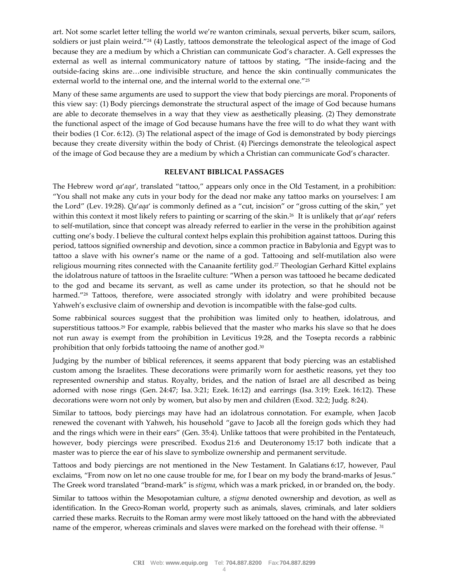art. Not some scarlet letter telling the world we're wanton criminals, sexual perverts, biker scum, sailors, soldiers or just plain weird."<sup>24</sup> (4) Lastly, tattoos demonstrate the teleological aspect of the image of God because they are a medium by which a Christian can communicate God's character. A. Gell expresses the external as well as internal communicatory nature of tattoos by stating, "The inside-facing and the outside-facing skins are…one indivisible structure, and hence the skin continually communicates the external world to the internal one, and the internal world to the external one."<sup>25</sup>

Many of these same arguments are used to support the view that body piercings are moral. Proponents of this view say: (1) Body piercings demonstrate the structural aspect of the image of God because humans are able to decorate themselves in a way that they view as aesthetically pleasing. (2) They demonstrate the functional aspect of the image of God because humans have the free will to do what they want with their bodies (1 Cor. 6:12). (3) The relational aspect of the image of God is demonstrated by body piercings because they create diversity within the body of Christ. (4) Piercings demonstrate the teleological aspect of the image of God because they are a medium by which a Christian can communicate God's character.

#### **RELEVANT BIBLICAL PASSAGES**

The Hebrew word *qa*'*aqa*', translated "tattoo," appears only once in the Old Testament, in a prohibition: "You shall not make any cuts in your body for the dead nor make any tattoo marks on yourselves: I am the Lord" (Lev. 19:28). *Qa*'*aqa*' is commonly defined as a "cut, incision" or "gross cutting of the skin," yet within this context it most likely refers to painting or scarring of the skin.<sup>26</sup> It is unlikely that *qa*'*aqa*' refers to self-mutilation, since that concept was already referred to earlier in the verse in the prohibition against cutting one's body. I believe the cultural context helps explain this prohibition against tattoos. During this period, tattoos signified ownership and devotion, since a common practice in Babylonia and Egypt was to tattoo a slave with his owner's name or the name of a god. Tattooing and self-mutilation also were religious mourning rites connected with the Canaanite fertility god.<sup>27</sup> Theologian Gerhard Kittel explains the idolatrous nature of tattoos in the Israelite culture: "When a person was tattooed he became dedicated to the god and became its servant, as well as came under its protection, so that he should not be harmed."<sup>28</sup> Tattoos, therefore, were associated strongly with idolatry and were prohibited because Yahweh's exclusive claim of ownership and devotion is incompatible with the false-god cults.

Some rabbinical sources suggest that the prohibition was limited only to heathen, idolatrous, and superstitious tattoos.<sup>29</sup> For example, rabbis believed that the master who marks his slave so that he does not run away is exempt from the prohibition in Leviticus 19:28, and the Tosepta records a rabbinic prohibition that only forbids tattooing the name of another god.<sup>30</sup>

Judging by the number of biblical references, it seems apparent that body piercing was an established custom among the Israelites. These decorations were primarily worn for aesthetic reasons, yet they too represented ownership and status. Royalty, brides, and the nation of Israel are all described as being adorned with nose rings (Gen. 24:47; Isa. 3:21; Ezek. 16:12) and earrings (Isa. 3:19; Ezek. 16:12). These decorations were worn not only by women, but also by men and children (Exod. 32:2; Judg. 8:24).

Similar to tattoos, body piercings may have had an idolatrous connotation. For example, when Jacob renewed the covenant with Yahweh, his household "gave to Jacob all the foreign gods which they had and the rings which were in their ears" (Gen. 35:4). Unlike tattoos that were prohibited in the Pentateuch, however, body piercings were prescribed. Exodus 21:6 and Deuteronomy 15:17 both indicate that a master was to pierce the ear of his slave to symbolize ownership and permanent servitude.

Tattoos and body piercings are not mentioned in the New Testament. In Galatians 6:17, however, Paul exclaims, "From now on let no one cause trouble for me, for I bear on my body the brand-marks of Jesus." The Greek word translated "brand-mark" is *stigma*, which was a mark pricked, in or branded on, the body.

Similar to tattoos within the Mesopotamian culture, a *stigma* denoted ownership and devotion, as well as identification. In the Greco-Roman world, property such as animals, slaves, criminals, and later soldiers carried these marks. Recruits to the Roman army were most likely tattooed on the hand with the abbreviated name of the emperor, whereas criminals and slaves were marked on the forehead with their offense. <sup>31</sup>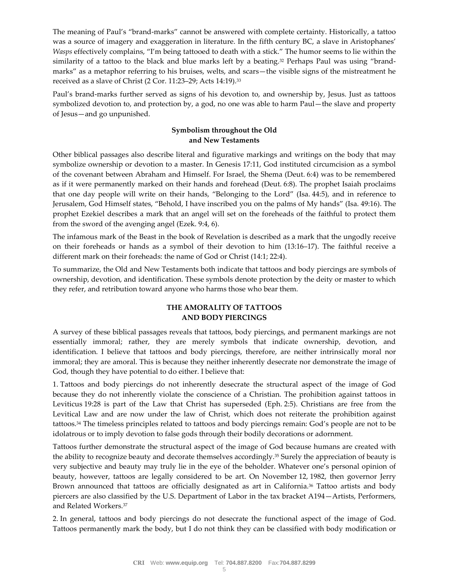The meaning of Paul's "brand-marks" cannot be answered with complete certainty. Historically, a tattoo was a source of imagery and exaggeration in literature. In the fifth century BC, a slave in Aristophanes' *Wasps* effectively complains, "I'm being tattooed to death with a stick." The humor seems to lie within the similarity of a tattoo to the black and blue marks left by a beating.<sup>32</sup> Perhaps Paul was using "brandmarks" as a metaphor referring to his bruises, welts, and scars—the visible signs of the mistreatment he received as a slave of Christ (2 Cor. 11:23–29; Acts 14:19).<sup>33</sup>

Paul's brand-marks further served as signs of his devotion to, and ownership by, Jesus. Just as tattoos symbolized devotion to, and protection by, a god, no one was able to harm Paul—the slave and property of Jesus—and go unpunished.

# **Symbolism throughout the Old and New Testaments**

Other biblical passages also describe literal and figurative markings and writings on the body that may symbolize ownership or devotion to a master. In Genesis 17:11, God instituted circumcision as a symbol of the covenant between Abraham and Himself. For Israel, the Shema (Deut. 6:4) was to be remembered as if it were permanently marked on their hands and forehead (Deut. 6:8). The prophet Isaiah proclaims that one day people will write on their hands, "Belonging to the Lord" (Isa. 44:5), and in reference to Jerusalem, God Himself states, "Behold, I have inscribed you on the palms of My hands" (Isa. 49:16). The prophet Ezekiel describes a mark that an angel will set on the foreheads of the faithful to protect them from the sword of the avenging angel (Ezek. 9:4, 6).

The infamous mark of the Beast in the book of Revelation is described as a mark that the ungodly receive on their foreheads or hands as a symbol of their devotion to him (13:16–17). The faithful receive a different mark on their foreheads: the name of God or Christ (14:1; 22:4).

To summarize, the Old and New Testaments both indicate that tattoos and body piercings are symbols of ownership, devotion, and identification. These symbols denote protection by the deity or master to which they refer, and retribution toward anyone who harms those who bear them.

# **THE AMORALITY OF TATTOOS AND BODY PIERCINGS**

A survey of these biblical passages reveals that tattoos, body piercings, and permanent markings are not essentially immoral; rather, they are merely symbols that indicate ownership, devotion, and identification. I believe that tattoos and body piercings, therefore, are neither intrinsically moral nor immoral; they are amoral. This is because they neither inherently desecrate nor demonstrate the image of God, though they have potential to do either. I believe that:

1. Tattoos and body piercings do not inherently desecrate the structural aspect of the image of God because they do not inherently violate the conscience of a Christian. The prohibition against tattoos in Leviticus 19:28 is part of the Law that Christ has superseded (Eph. 2:5). Christians are free from the Levitical Law and are now under the law of Christ, which does not reiterate the prohibition against tattoos.<sup>34</sup> The timeless principles related to tattoos and body piercings remain: God's people are not to be idolatrous or to imply devotion to false gods through their bodily decorations or adornment.

Tattoos further demonstrate the structural aspect of the image of God because humans are created with the ability to recognize beauty and decorate themselves accordingly.<sup>35</sup> Surely the appreciation of beauty is very subjective and beauty may truly lie in the eye of the beholder. Whatever one's personal opinion of beauty, however, tattoos are legally considered to be art. On November 12, 1982, then governor Jerry Brown announced that tattoos are officially designated as art in California.<sup>36</sup> Tattoo artists and body piercers are also classified by the U.S. Department of Labor in the tax bracket A194—Artists, Performers, and Related Workers.<sup>37</sup>

2. In general, tattoos and body piercings do not desecrate the functional aspect of the image of God. Tattoos permanently mark the body, but I do not think they can be classified with body modification or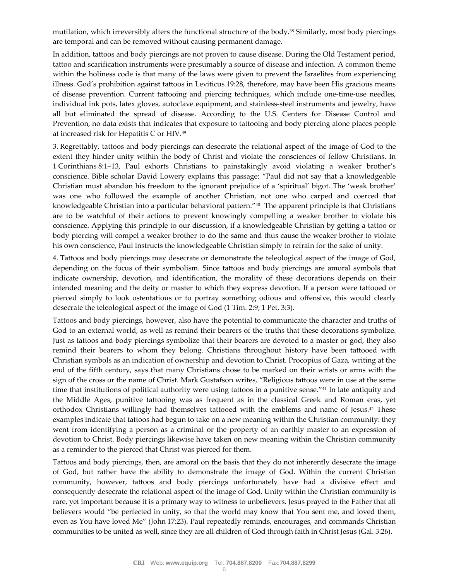mutilation, which irreversibly alters the functional structure of the body.<sup>38</sup> Similarly, most body piercings are temporal and can be removed without causing permanent damage.

In addition, tattoos and body piercings are not proven to cause disease. During the Old Testament period, tattoo and scarification instruments were presumably a source of disease and infection. A common theme within the holiness code is that many of the laws were given to prevent the Israelites from experiencing illness. God's prohibition against tattoos in Leviticus 19:28, therefore, may have been His gracious means of disease prevention. Current tattooing and piercing techniques, which include one-time-use needles, individual ink pots, latex gloves, autoclave equipment, and stainless-steel instruments and jewelry, have all but eliminated the spread of disease. According to the U.S. Centers for Disease Control and Prevention, no data exists that indicates that exposure to tattooing and body piercing alone places people at increased risk for Hepatitis C or HIV.<sup>39</sup>

3. Regrettably, tattoos and body piercings can desecrate the relational aspect of the image of God to the extent they hinder unity within the body of Christ and violate the consciences of fellow Christians. In 1 Corinthians 8:1–13, Paul exhorts Christians to painstakingly avoid violating a weaker brother's conscience. Bible scholar David Lowery explains this passage: "Paul did not say that a knowledgeable Christian must abandon his freedom to the ignorant prejudice of a 'spiritual' bigot. The 'weak brother' was one who followed the example of another Christian, not one who carped and coerced that knowledgeable Christian into a particular behavioral pattern."<sup>40</sup> The apparent principle is that Christians are to be watchful of their actions to prevent knowingly compelling a weaker brother to violate his conscience. Applying this principle to our discussion, if a knowledgeable Christian by getting a tattoo or body piercing will compel a weaker brother to do the same and thus cause the weaker brother to violate his own conscience, Paul instructs the knowledgeable Christian simply to refrain for the sake of unity.

4. Tattoos and body piercings may desecrate or demonstrate the teleological aspect of the image of God, depending on the focus of their symbolism. Since tattoos and body piercings are amoral symbols that indicate ownership, devotion, and identification, the morality of these decorations depends on their intended meaning and the deity or master to which they express devotion. If a person were tattooed or pierced simply to look ostentatious or to portray something odious and offensive, this would clearly desecrate the teleological aspect of the image of God (1 Tim. 2:9; 1 Pet. 3:3).

Tattoos and body piercings, however, also have the potential to communicate the character and truths of God to an external world, as well as remind their bearers of the truths that these decorations symbolize. Just as tattoos and body piercings symbolize that their bearers are devoted to a master or god, they also remind their bearers to whom they belong. Christians throughout history have been tattooed with Christian symbols as an indication of ownership and devotion to Christ. Procopius of Gaza, writing at the end of the fifth century, says that many Christians chose to be marked on their wrists or arms with the sign of the cross or the name of Christ. Mark Gustafson writes, "Religious tattoos were in use at the same time that institutions of political authority were using tattoos in a punitive sense."<sup>41</sup> In late antiquity and the Middle Ages, punitive tattooing was as frequent as in the classical Greek and Roman eras, yet orthodox Christians willingly had themselves tattooed with the emblems and name of Jesus.<sup>42</sup> These examples indicate that tattoos had begun to take on a new meaning within the Christian community: they went from identifying a person as a criminal or the property of an earthly master to an expression of devotion to Christ. Body piercings likewise have taken on new meaning within the Christian community as a reminder to the pierced that Christ was pierced for them.

Tattoos and body piercings, then, are amoral on the basis that they do not inherently desecrate the image of God, but rather have the ability to demonstrate the image of God. Within the current Christian community, however, tattoos and body piercings unfortunately have had a divisive effect and consequently desecrate the relational aspect of the image of God. Unity within the Christian community is rare, yet important because it is a primary way to witness to unbelievers. Jesus prayed to the Father that all believers would "be perfected in unity, so that the world may know that You sent me, and loved them, even as You have loved Me" (John 17:23). Paul repeatedly reminds, encourages, and commands Christian communities to be united as well, since they are all children of God through faith in Christ Jesus (Gal. 3:26).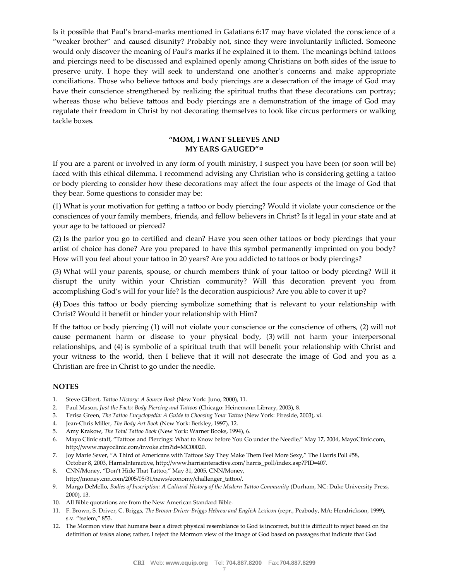Is it possible that Paul's brand-marks mentioned in Galatians 6:17 may have violated the conscience of a "weaker brother" and caused disunity? Probably not, since they were involuntarily inflicted. Someone would only discover the meaning of Paul's marks if he explained it to them. The meanings behind tattoos and piercings need to be discussed and explained openly among Christians on both sides of the issue to preserve unity. I hope they will seek to understand one another's concerns and make appropriate conciliations. Those who believe tattoos and body piercings are a desecration of the image of God may have their conscience strengthened by realizing the spiritual truths that these decorations can portray; whereas those who believe tattoos and body piercings are a demonstration of the image of God may regulate their freedom in Christ by not decorating themselves to look like circus performers or walking tackle boxes.

## **"MOM, I WANT SLEEVES AND MY EARS GAUGED"<sup>43</sup>**

If you are a parent or involved in any form of youth ministry, I suspect you have been (or soon will be) faced with this ethical dilemma. I recommend advising any Christian who is considering getting a tattoo or body piercing to consider how these decorations may affect the four aspects of the image of God that they bear. Some questions to consider may be:

(1) What is your motivation for getting a tattoo or body piercing? Would it violate your conscience or the consciences of your family members, friends, and fellow believers in Christ? Is it legal in your state and at your age to be tattooed or pierced?

(2) Is the parlor you go to certified and clean? Have you seen other tattoos or body piercings that your artist of choice has done? Are you prepared to have this symbol permanently imprinted on you body? How will you feel about your tattoo in 20 years? Are you addicted to tattoos or body piercings?

(3) What will your parents, spouse, or church members think of your tattoo or body piercing? Will it disrupt the unity within your Christian community? Will this decoration prevent you from accomplishing God's will for your life? Is the decoration auspicious? Are you able to cover it up?

(4) Does this tattoo or body piercing symbolize something that is relevant to your relationship with Christ? Would it benefit or hinder your relationship with Him?

If the tattoo or body piercing (1) will not violate your conscience or the conscience of others, (2) will not cause permanent harm or disease to your physical body, (3) will not harm your interpersonal relationships, and (4) is symbolic of a spiritual truth that will benefit your relationship with Christ and your witness to the world, then I believe that it will not desecrate the image of God and you as a Christian are free in Christ to go under the needle.

## **NOTES**

- 1. Steve Gilbert, *Tattoo History: A Source Book* (New York: Juno, 2000), 11.
- 2. Paul Mason, *Just the Facts: Body Piercing and Tattoos* (Chicago: Heinemann Library, 2003), 8.
- 3. Terisa Green, *The Tattoo Encyclopedia: A Guide to Choosing Your Tattoo* (New York: Fireside, 2003), xi.
- 4. Jean-Chris Miller, *The Body Art Book* (New York: Berkley, 1997), 12.
- 5. Amy Krakow, *The Total Tattoo Book* (New York: Warner Books, 1994), 6.
- 6. Mayo Clinic staff, "Tattoos and Piercings: What to Know before You Go under the Needle," May 17, 2004, MayoClinic.com, http://www.mayoclinic.com/invoke.cfm?id=MC00020.
- 7. Joy Marie Sever, "A Third of Americans with Tattoos Say They Make Them Feel More Sexy," The Harris Poll #58, October 8, 2003, HarrisInteractive, http://www.harrisinteractive.com/ harris\_poll/index.asp?PID=407.
- 8. CNN/Money, "Don't Hide That Tattoo," May 31, 2005, CNN/Money, http://money.cnn.com/2005/05/31/news/economy/challenger\_tattoo/.
- 9. Margo DeMello, *Bodies of Inscription: A Cultural History of the Modern Tattoo Community* (Durham, NC: Duke University Press, 2000), 13.
- 10. All Bible quotations are from the New American Standard Bible.
- 11. F. Brown, S. Driver, C. Briggs, *The Brown-Driver-Briggs Hebrew and English Lexicon* (repr., Peabody, MA: Hendrickson, 1999), s.v. "tselem," 853.
- 12. The Mormon view that humans bear a direct physical resemblance to God is incorrect, but it is difficult to reject based on the definition of *tselem* alone; rather, I reject the Mormon view of the image of God based on passages that indicate that God